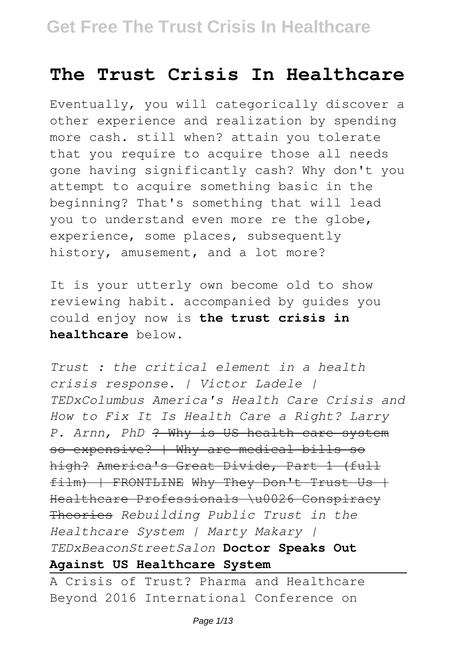## **The Trust Crisis In Healthcare**

Eventually, you will categorically discover a other experience and realization by spending more cash. still when? attain you tolerate that you require to acquire those all needs gone having significantly cash? Why don't you attempt to acquire something basic in the beginning? That's something that will lead you to understand even more re the globe, experience, some places, subsequently history, amusement, and a lot more?

It is your utterly own become old to show reviewing habit. accompanied by guides you could enjoy now is **the trust crisis in healthcare** below.

*Trust : the critical element in a health crisis response. | Victor Ladele | TEDxColumbus America's Health Care Crisis and How to Fix It Is Health Care a Right? Larry P. Arnn, PhD* ? Why is US health care system so expensive? | Why are medical bills so high? America's Great Divide, Part 1 (full film) | FRONTLINE Why They Don't Trust Us + Healthcare Professionals \u0026 Conspiracy Theories *Rebuilding Public Trust in the Healthcare System | Marty Makary | TEDxBeaconStreetSalon* **Doctor Speaks Out Against US Healthcare System**

A Crisis of Trust? Pharma and Healthcare Beyond 2016 International Conference on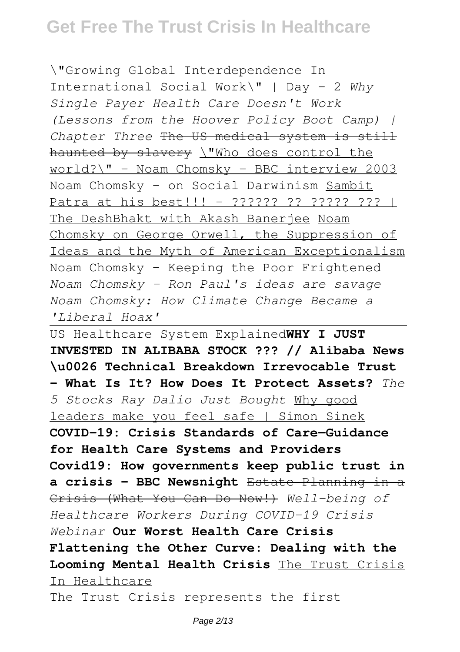\"Growing Global Interdependence In International Social Work\" | Day - 2 *Why Single Payer Health Care Doesn't Work (Lessons from the Hoover Policy Boot Camp) | Chapter Three* The US medical system is still haunted by slavery \"Who does control the world?\" - Noam Chomsky - BBC interview 2003 Noam Chomsky - on Social Darwinism Sambit Patra at his best!!! - ?????? ?? ????? ??? | The DeshBhakt with Akash Banerjee Noam Chomsky on George Orwell, the Suppression of Ideas and the Myth of American Exceptionalism Noam Chomsky - Keeping the Poor Frightened *Noam Chomsky - Ron Paul's ideas are savage Noam Chomsky: How Climate Change Became a 'Liberal Hoax'*

US Healthcare System Explained**WHY I JUST INVESTED IN ALIBABA STOCK ??? // Alibaba News \u0026 Technical Breakdown Irrevocable Trust - What Is It? How Does It Protect Assets?** *The 5 Stocks Ray Dalio Just Bought* Why good leaders make you feel safe | Simon Sinek **COVID-19: Crisis Standards of Care—Guidance for Health Care Systems and Providers Covid19: How governments keep public trust in a crisis - BBC Newsnight** Estate Planning in a Crisis (What You Can Do Now!) *Well-being of Healthcare Workers During COVID-19 Crisis Webinar* **Our Worst Health Care Crisis Flattening the Other Curve: Dealing with the Looming Mental Health Crisis** The Trust Crisis In Healthcare

The Trust Crisis represents the first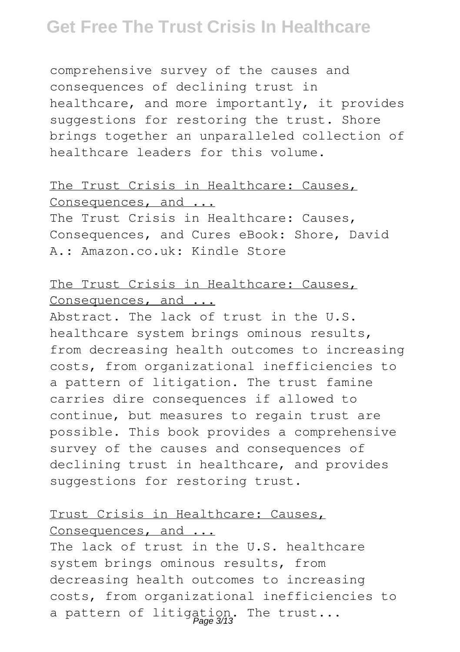comprehensive survey of the causes and consequences of declining trust in healthcare, and more importantly, it provides suggestions for restoring the trust. Shore brings together an unparalleled collection of healthcare leaders for this volume.

#### The Trust Crisis in Healthcare: Causes, Consequences, and ...

The Trust Crisis in Healthcare: Causes, Consequences, and Cures eBook: Shore, David A.: Amazon.co.uk: Kindle Store

## The Trust Crisis in Healthcare: Causes, Consequences, and ...

Abstract. The lack of trust in the U.S. healthcare system brings ominous results, from decreasing health outcomes to increasing costs, from organizational inefficiencies to a pattern of litigation. The trust famine carries dire consequences if allowed to continue, but measures to regain trust are possible. This book provides a comprehensive survey of the causes and consequences of declining trust in healthcare, and provides suggestions for restoring trust.

#### Trust Crisis in Healthcare: Causes, Consequences, and ...

The lack of trust in the U.S. healthcare system brings ominous results, from decreasing health outcomes to increasing costs, from organizational inefficiencies to a pattern of litigation. The trust...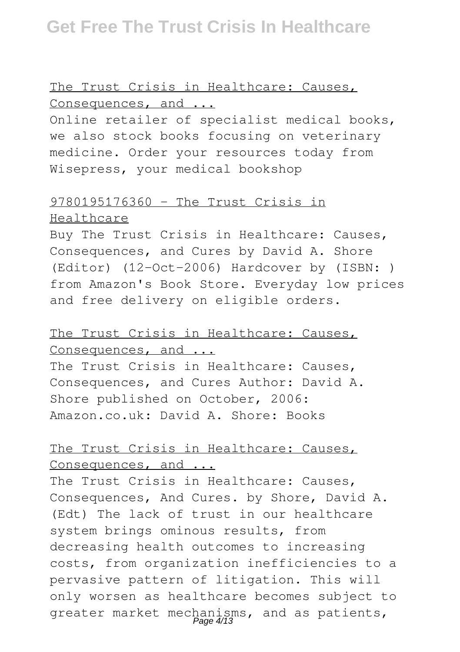The Trust Crisis in Healthcare: Causes, Consequences, and ...

Online retailer of specialist medical books, we also stock books focusing on veterinary medicine. Order your resources today from Wisepress, your medical bookshop

## 9780195176360 - The Trust Crisis in

#### Healthcare

Buy The Trust Crisis in Healthcare: Causes, Consequences, and Cures by David A. Shore (Editor) (12-Oct-2006) Hardcover by (ISBN: ) from Amazon's Book Store. Everyday low prices and free delivery on eligible orders.

## The Trust Crisis in Healthcare: Causes, Consequences, and ...

The Trust Crisis in Healthcare: Causes, Consequences, and Cures Author: David A. Shore published on October, 2006: Amazon.co.uk: David A. Shore: Books

#### The Trust Crisis in Healthcare: Causes, Consequences, and ...

The Trust Crisis in Healthcare: Causes, Consequences, And Cures. by Shore, David A. (Edt) The lack of trust in our healthcare system brings ominous results, from decreasing health outcomes to increasing costs, from organization inefficiencies to a pervasive pattern of litigation. This will only worsen as healthcare becomes subject to greater market mechanisms, and as patients,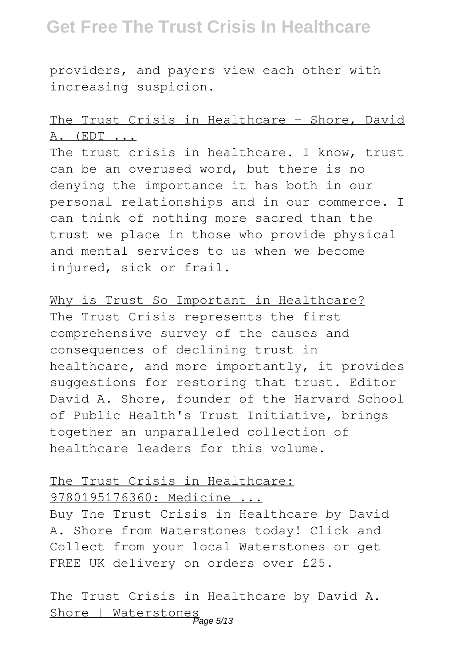providers, and payers view each other with increasing suspicion.

## The Trust Crisis in Healthcare - Shore, David A. (EDT ...

The trust crisis in healthcare. I know, trust can be an overused word, but there is no denying the importance it has both in our personal relationships and in our commerce. I can think of nothing more sacred than the trust we place in those who provide physical and mental services to us when we become injured, sick or frail.

Why is Trust So Important in Healthcare? The Trust Crisis represents the first comprehensive survey of the causes and consequences of declining trust in healthcare, and more importantly, it provides suggestions for restoring that trust. Editor David A. Shore, founder of the Harvard School of Public Health's Trust Initiative, brings together an unparalleled collection of healthcare leaders for this volume.

#### The Trust Crisis in Healthcare: 9780195176360: Medicine ...

Buy The Trust Crisis in Healthcare by David A. Shore from Waterstones today! Click and Collect from your local Waterstones or get FREE UK delivery on orders over £25.

The Trust Crisis in Healthcare by David A. Shore | Waterstones Page 5/13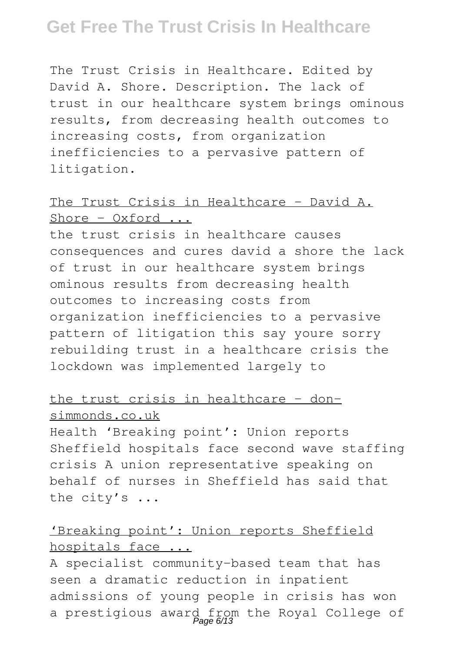The Trust Crisis in Healthcare. Edited by David A. Shore. Description. The lack of trust in our healthcare system brings ominous results, from decreasing health outcomes to increasing costs, from organization inefficiencies to a pervasive pattern of litigation.

#### The Trust Crisis in Healthcare - David A.  $Shorte - Oxford ...$

the trust crisis in healthcare causes consequences and cures david a shore the lack of trust in our healthcare system brings ominous results from decreasing health outcomes to increasing costs from organization inefficiencies to a pervasive pattern of litigation this say youre sorry rebuilding trust in a healthcare crisis the lockdown was implemented largely to

#### the trust crisis in healthcare - donsimmonds.co.uk

Health 'Breaking point': Union reports Sheffield hospitals face second wave staffing crisis A union representative speaking on behalf of nurses in Sheffield has said that the city's ...

#### 'Breaking point': Union reports Sheffield hospitals face ...

A specialist community-based team that has seen a dramatic reduction in inpatient admissions of young people in crisis has won a prestigious award from the Royal College of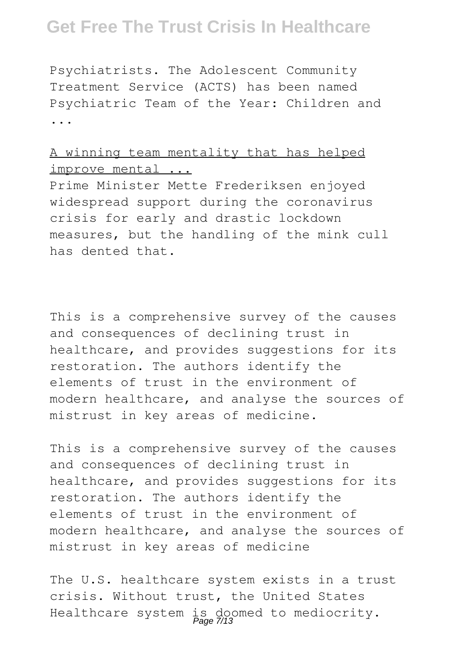Psychiatrists. The Adolescent Community Treatment Service (ACTS) has been named Psychiatric Team of the Year: Children and ...

#### A winning team mentality that has helped improve mental ...

Prime Minister Mette Frederiksen enjoyed widespread support during the coronavirus crisis for early and drastic lockdown measures, but the handling of the mink cull has dented that.

This is a comprehensive survey of the causes and consequences of declining trust in healthcare, and provides suggestions for its restoration. The authors identify the elements of trust in the environment of modern healthcare, and analyse the sources of mistrust in key areas of medicine.

This is a comprehensive survey of the causes and consequences of declining trust in healthcare, and provides suggestions for its restoration. The authors identify the elements of trust in the environment of modern healthcare, and analyse the sources of mistrust in key areas of medicine

The U.S. healthcare system exists in a trust crisis. Without trust, the United States Healthcare system is doomed to mediocrity.<br>Page 7/13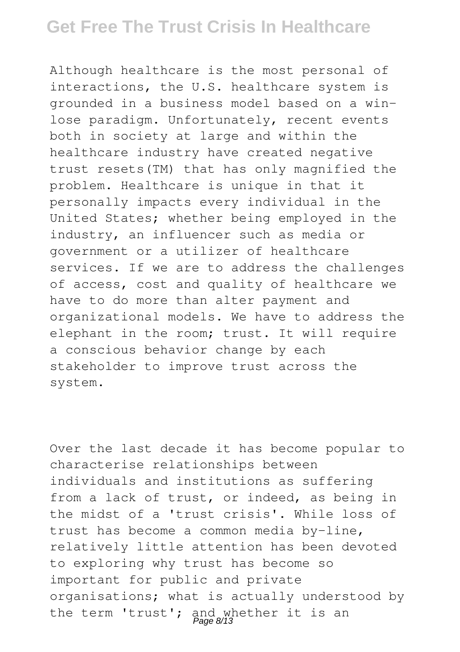Although healthcare is the most personal of interactions, the U.S. healthcare system is grounded in a business model based on a winlose paradigm. Unfortunately, recent events both in society at large and within the healthcare industry have created negative trust resets(TM) that has only magnified the problem. Healthcare is unique in that it personally impacts every individual in the United States; whether being employed in the industry, an influencer such as media or government or a utilizer of healthcare services. If we are to address the challenges of access, cost and quality of healthcare we have to do more than alter payment and organizational models. We have to address the elephant in the room; trust. It will require a conscious behavior change by each stakeholder to improve trust across the system.

Over the last decade it has become popular to characterise relationships between individuals and institutions as suffering from a lack of trust, or indeed, as being in the midst of a 'trust crisis'. While loss of trust has become a common media by-line, relatively little attention has been devoted to exploring why trust has become so important for public and private organisations; what is actually understood by the term 'trust'; and whether it is an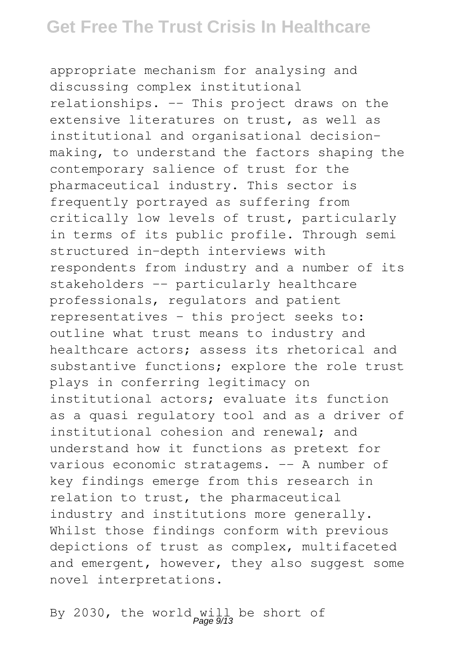appropriate mechanism for analysing and discussing complex institutional relationships. -- This project draws on the extensive literatures on trust, as well as institutional and organisational decisionmaking, to understand the factors shaping the contemporary salience of trust for the pharmaceutical industry. This sector is frequently portrayed as suffering from critically low levels of trust, particularly in terms of its public profile. Through semi structured in-depth interviews with respondents from industry and a number of its stakeholders -- particularly healthcare professionals, regulators and patient representatives - this project seeks to: outline what trust means to industry and healthcare actors; assess its rhetorical and substantive functions; explore the role trust plays in conferring legitimacy on institutional actors; evaluate its function as a quasi regulatory tool and as a driver of institutional cohesion and renewal; and understand how it functions as pretext for various economic stratagems. -- A number of key findings emerge from this research in relation to trust, the pharmaceutical industry and institutions more generally. Whilst those findings conform with previous depictions of trust as complex, multifaceted and emergent, however, they also suggest some novel interpretations.

By 2030, the world will be short of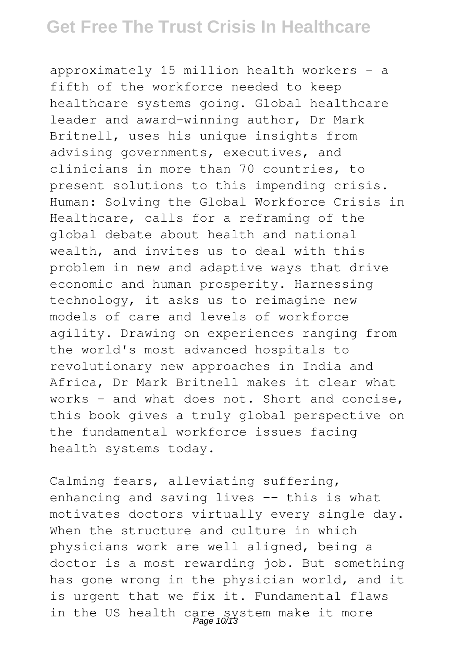approximately 15 million health workers - a fifth of the workforce needed to keep healthcare systems going. Global healthcare leader and award-winning author, Dr Mark Britnell, uses his unique insights from advising governments, executives, and clinicians in more than 70 countries, to present solutions to this impending crisis. Human: Solving the Global Workforce Crisis in Healthcare, calls for a reframing of the global debate about health and national wealth, and invites us to deal with this problem in new and adaptive ways that drive economic and human prosperity. Harnessing technology, it asks us to reimagine new models of care and levels of workforce agility. Drawing on experiences ranging from the world's most advanced hospitals to revolutionary new approaches in India and Africa, Dr Mark Britnell makes it clear what works - and what does not. Short and concise, this book gives a truly global perspective on the fundamental workforce issues facing health systems today.

Calming fears, alleviating suffering, enhancing and saving lives -- this is what motivates doctors virtually every single day. When the structure and culture in which physicians work are well aligned, being a doctor is a most rewarding job. But something has gone wrong in the physician world, and it is urgent that we fix it. Fundamental flaws in the US health care system make it more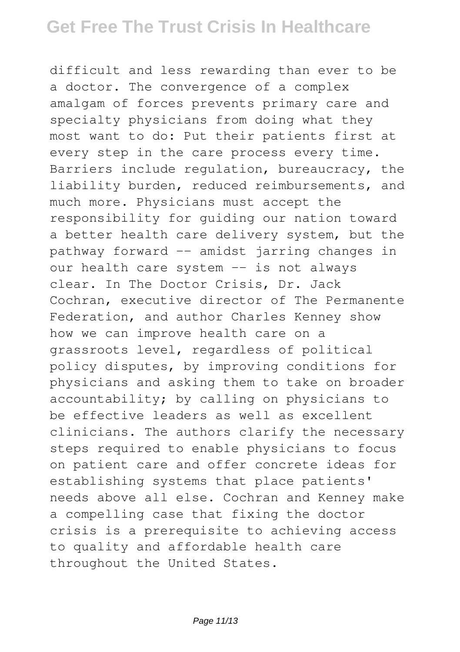difficult and less rewarding than ever to be a doctor. The convergence of a complex amalgam of forces prevents primary care and specialty physicians from doing what they most want to do: Put their patients first at every step in the care process every time. Barriers include regulation, bureaucracy, the liability burden, reduced reimbursements, and much more. Physicians must accept the responsibility for guiding our nation toward a better health care delivery system, but the pathway forward -- amidst jarring changes in our health care system -- is not always clear. In The Doctor Crisis, Dr. Jack Cochran, executive director of The Permanente Federation, and author Charles Kenney show how we can improve health care on a grassroots level, regardless of political policy disputes, by improving conditions for physicians and asking them to take on broader accountability; by calling on physicians to be effective leaders as well as excellent clinicians. The authors clarify the necessary steps required to enable physicians to focus on patient care and offer concrete ideas for establishing systems that place patients' needs above all else. Cochran and Kenney make a compelling case that fixing the doctor crisis is a prerequisite to achieving access to quality and affordable health care throughout the United States.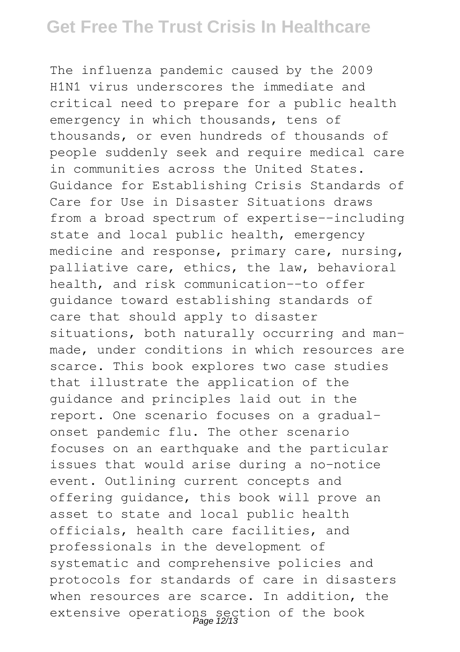The influenza pandemic caused by the 2009 H1N1 virus underscores the immediate and critical need to prepare for a public health emergency in which thousands, tens of thousands, or even hundreds of thousands of people suddenly seek and require medical care in communities across the United States. Guidance for Establishing Crisis Standards of Care for Use in Disaster Situations draws from a broad spectrum of expertise--including state and local public health, emergency medicine and response, primary care, nursing, palliative care, ethics, the law, behavioral health, and risk communication--to offer guidance toward establishing standards of care that should apply to disaster situations, both naturally occurring and manmade, under conditions in which resources are scarce. This book explores two case studies that illustrate the application of the guidance and principles laid out in the report. One scenario focuses on a gradualonset pandemic flu. The other scenario focuses on an earthquake and the particular issues that would arise during a no-notice event. Outlining current concepts and offering guidance, this book will prove an asset to state and local public health officials, health care facilities, and professionals in the development of systematic and comprehensive policies and protocols for standards of care in disasters when resources are scarce. In addition, the extensive operations section of the book